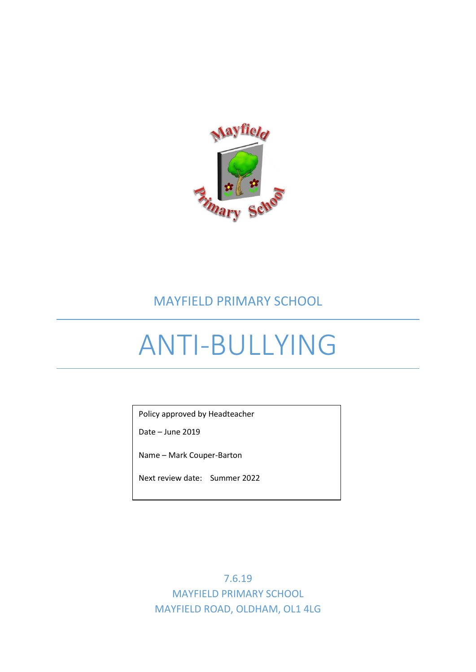

# MAYFIELD PRIMARY SCHOOL

# ANTI-BULLYING

Policy approved by Headteacher

Date – June 2019

Name – Mark Couper-Barton

Next review date: Summer 2022

7.6.19 MAYFIELD PRIMARY SCHOOL MAYFIELD ROAD, OLDHAM, OL1 4LG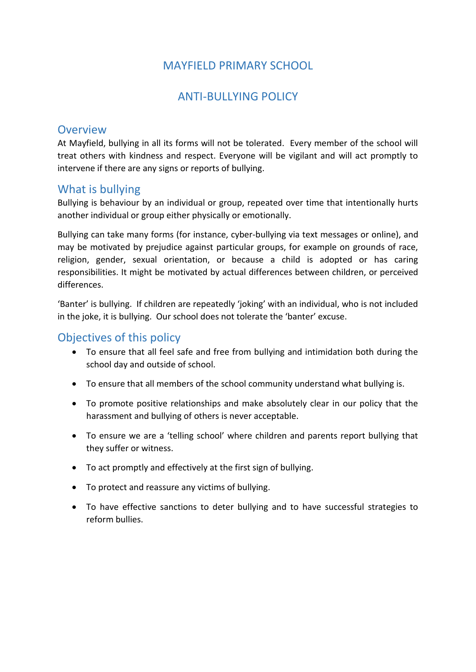# MAYFIELD PRIMARY SCHOOL

# ANTI-BULLYING POLICY

## **Overview**

At Mayfield, bullying in all its forms will not be tolerated. Every member of the school will treat others with kindness and respect. Everyone will be vigilant and will act promptly to intervene if there are any signs or reports of bullying.

## What is bullying

Bullying is behaviour by an individual or group, repeated over time that intentionally hurts another individual or group either physically or emotionally.

Bullying can take many forms (for instance, cyber-bullying via text messages or online), and may be motivated by prejudice against particular groups, for example on grounds of race, religion, gender, sexual orientation, or because a child is adopted or has caring responsibilities. It might be motivated by actual differences between children, or perceived differences.

'Banter' is bullying. If children are repeatedly 'joking' with an individual, who is not included in the joke, it is bullying. Our school does not tolerate the 'banter' excuse.

## Objectives of this policy

- To ensure that all feel safe and free from bullying and intimidation both during the school day and outside of school.
- To ensure that all members of the school community understand what bullying is.
- To promote positive relationships and make absolutely clear in our policy that the harassment and bullying of others is never acceptable.
- To ensure we are a 'telling school' where children and parents report bullying that they suffer or witness.
- To act promptly and effectively at the first sign of bullying.
- To protect and reassure any victims of bullying.
- To have effective sanctions to deter bullying and to have successful strategies to reform bullies.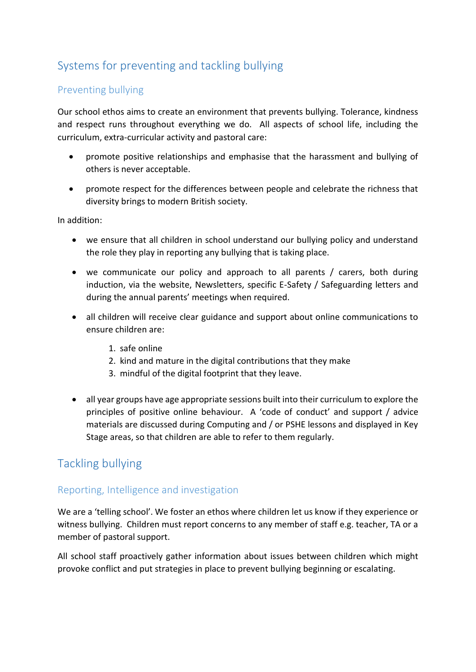# Systems for preventing and tackling bullying

## Preventing bullying

Our school ethos aims to create an environment that prevents bullying. Tolerance, kindness and respect runs throughout everything we do. All aspects of school life, including the curriculum, extra-curricular activity and pastoral care:

- promote positive relationships and emphasise that the harassment and bullying of others is never acceptable.
- promote respect for the differences between people and celebrate the richness that diversity brings to modern British society.

In addition:

- we ensure that all children in school understand our bullying policy and understand the role they play in reporting any bullying that is taking place.
- we communicate our policy and approach to all parents / carers, both during induction, via the website, Newsletters, specific E-Safety / Safeguarding letters and during the annual parents' meetings when required.
- all children will receive clear guidance and support about online communications to ensure children are:
	- 1. safe online
	- 2. kind and mature in the digital contributions that they make
	- 3. mindful of the digital footprint that they leave.
- all year groups have age appropriate sessions built into their curriculum to explore the principles of positive online behaviour. A 'code of conduct' and support / advice materials are discussed during Computing and / or PSHE lessons and displayed in Key Stage areas, so that children are able to refer to them regularly.

# Tackling bullying

### Reporting, Intelligence and investigation

We are a 'telling school'. We foster an ethos where children let us know if they experience or witness bullying. Children must report concerns to any member of staff e.g. teacher, TA or a member of pastoral support.

All school staff proactively gather information about issues between children which might provoke conflict and put strategies in place to prevent bullying beginning or escalating.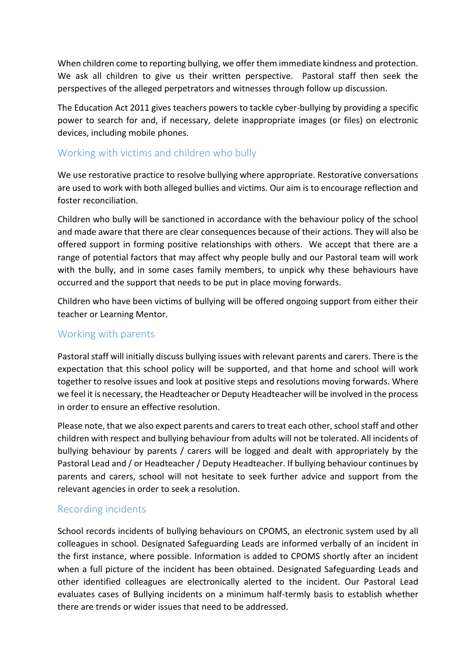When children come to reporting bullying, we offer them immediate kindness and protection. We ask all children to give us their written perspective. Pastoral staff then seek the perspectives of the alleged perpetrators and witnesses through follow up discussion.

The Education Act 2011 gives teachers powers to tackle cyber-bullying by providing a specific power to search for and, if necessary, delete inappropriate images (or files) on electronic devices, including mobile phones.

### Working with victims and children who bully

We use restorative practice to resolve bullying where appropriate. Restorative conversations are used to work with both alleged bullies and victims. Our aim is to encourage reflection and foster reconciliation.

Children who bully will be sanctioned in accordance with the behaviour policy of the school and made aware that there are clear consequences because of their actions. They will also be offered support in forming positive relationships with others. We accept that there are a range of potential factors that may affect why people bully and our Pastoral team will work with the bully, and in some cases family members, to unpick why these behaviours have occurred and the support that needs to be put in place moving forwards.

Children who have been victims of bullying will be offered ongoing support from either their teacher or Learning Mentor.

#### Working with parents

Pastoral staff will initially discuss bullying issues with relevant parents and carers. There is the expectation that this school policy will be supported, and that home and school will work together to resolve issues and look at positive steps and resolutions moving forwards. Where we feel it is necessary, the Headteacher or Deputy Headteacher will be involved in the process in order to ensure an effective resolution.

Please note, that we also expect parents and carers to treat each other, school staff and other children with respect and bullying behaviour from adults will not be tolerated. All incidents of bullying behaviour by parents / carers will be logged and dealt with appropriately by the Pastoral Lead and / or Headteacher / Deputy Headteacher. If bullying behaviour continues by parents and carers, school will not hesitate to seek further advice and support from the relevant agencies in order to seek a resolution.

#### Recording incidents

School records incidents of bullying behaviours on CPOMS, an electronic system used by all colleagues in school. Designated Safeguarding Leads are informed verbally of an incident in the first instance, where possible. Information is added to CPOMS shortly after an incident when a full picture of the incident has been obtained. Designated Safeguarding Leads and other identified colleagues are electronically alerted to the incident. Our Pastoral Lead evaluates cases of Bullying incidents on a minimum half-termly basis to establish whether there are trends or wider issues that need to be addressed.